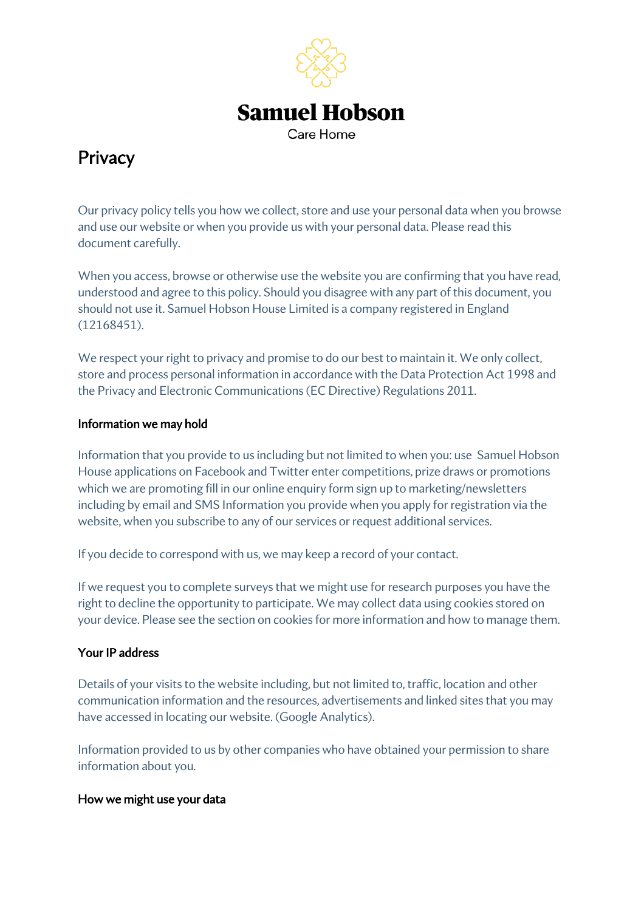

# **Privacy**

Our privacy policy tells you how we collect, store and use your personal data when you browse and use our website or when you provide us with your personal data. Please read this document carefully.

When you access, browse or otherwise use the website you are confirming that you have read, understood and agree to this policy. Should you disagree with any part of this document, you should not use it. Samuel Hobson House Limited is a company registered in England (12168451).

We respect your right to privacy and promise to do our best to maintain it. We only collect, store and process personal information in accordance with the Data Protection Act 1998 and the Privacy and Electronic Communications (EC Directive) Regulations 2011.

## Information we may hold

Information that you provide to us including but not limited to when you: use Samuel Hobson House applications on Facebook and Twitter enter competitions, prize draws or promotions which we are promoting fill in our online enquiry form sign up to marketing/newsletters including by email and SMS Information you provide when you apply for registration via the website, when you subscribe to any of our services or request additional services.

If you decide to correspond with us, we may keep a record of your contact.

If we request you to complete surveys that we might use for research purposes you have the right to decline the opportunity to participate. We may collect data using cookies stored on your device. Please see the section on cookies for more information and how to manage them.

# Your IP address

Details of your visits to the website including, but not limited to, traffic, location and other communication information and the resources, advertisements and linked sites that you may have accessed in locating our website. (Google Analytics).

Information provided to us by other companies who have obtained your permission to share information about you.

#### How we might use your data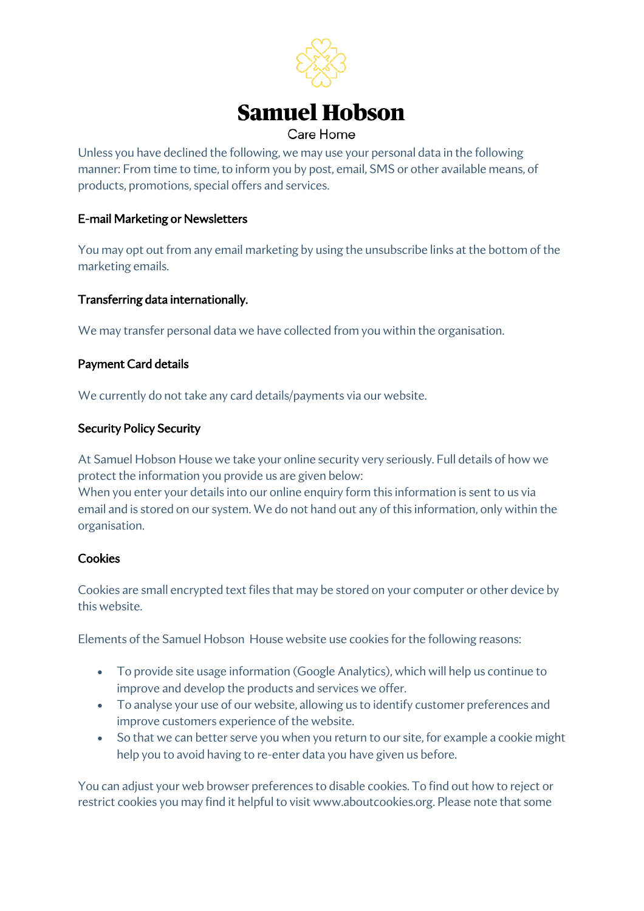

Unless you have declined the following, we may use your personal data in the following manner: From time to time, to inform you by post, email, SMS or other available means, of products, promotions, special offers and services.

## E-mail Marketing or Newsletters

You may opt out from any email marketing by using the unsubscribe links at the bottom of the marketing emails.

## Transferring data internationally.

We may transfer personal data we have collected from you within the organisation.

## Payment Card details

We currently do not take any card details/payments via our website.

#### Security Policy Security

At Samuel Hobson House we take your online security very seriously. Full details of how we protect the information you provide us are given below:

When you enter your details into our online enquiry form this information is sent to us via email and is stored on our system. We do not hand out any of this information, only within the organisation.

# **Cookies**

Cookies are small encrypted text files that may be stored on your computer or other device by this website.

Elements of the Samuel Hobson House website use cookies for the following reasons:

- To provide site usage information (Google Analytics), which will help us continue to improve and develop the products and services we offer.
- To analyse your use of our website, allowing us to identify customer preferences and improve customers experience of the website.
- So that we can better serve you when you return to our site, for example a cookie might help you to avoid having to re-enter data you have given us before.

You can adjust your web browser preferences to disable cookies. To find out how to reject or restrict cookies you may find it helpful to visit www.aboutcookies.org. Please note that some